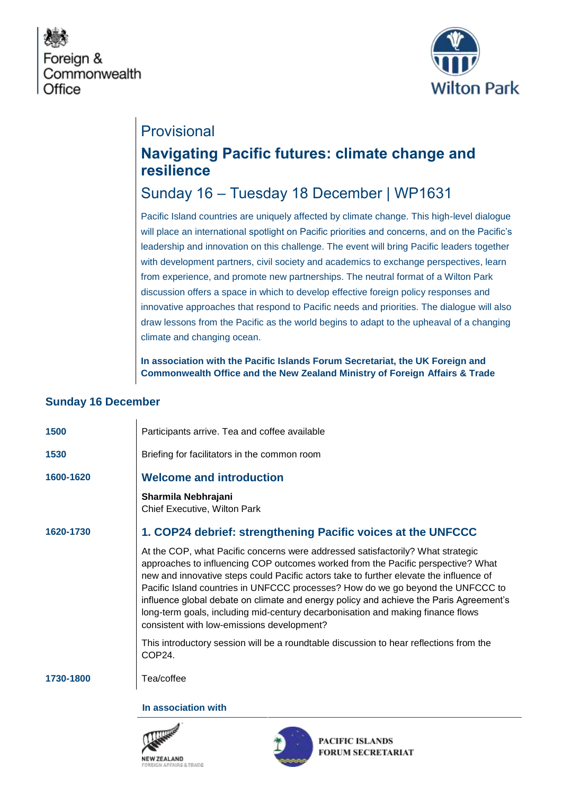



## Provisional

# **Navigating Pacific futures: climate change and resilience**

## Sunday 16 – Tuesday 18 December | WP1631

Pacific Island countries are uniquely affected by climate change. This high-level dialogue will place an international spotlight on Pacific priorities and concerns, and on the Pacific's leadership and innovation on this challenge. The event will bring Pacific leaders together with development partners, civil society and academics to exchange perspectives, learn from experience, and promote new partnerships. The neutral format of a Wilton Park discussion offers a space in which to develop effective foreign policy responses and innovative approaches that respond to Pacific needs and priorities. The dialogue will also draw lessons from the Pacific as the world begins to adapt to the upheaval of a changing climate and changing ocean.

**In association with the Pacific Islands Forum Secretariat, the UK Foreign and Commonwealth Office and the New Zealand Ministry of Foreign Affairs & Trade**

#### **Sunday 16 December**

| 1500<br>Participants arrive. Tea and coffee available<br>Briefing for facilitators in the common room<br>1530<br><b>Welcome and introduction</b><br>1600-1620<br>Sharmila Nebhrajani<br>Chief Executive, Wilton Park<br>1. COP24 debrief: strengthening Pacific voices at the UNFCCC<br>1620-1730<br>At the COP, what Pacific concerns were addressed satisfactorily? What strategic<br>approaches to influencing COP outcomes worked from the Pacific perspective? What<br>new and innovative steps could Pacific actors take to further elevate the influence of<br>Pacific Island countries in UNFCCC processes? How do we go beyond the UNFCCC to<br>long-term goals, including mid-century decarbonisation and making finance flows<br>consistent with low-emissions development?<br>This introductory session will be a roundtable discussion to hear reflections from the<br>COP24.<br>Tea/coffee<br>1730-1800 |                                                                                        |
|-----------------------------------------------------------------------------------------------------------------------------------------------------------------------------------------------------------------------------------------------------------------------------------------------------------------------------------------------------------------------------------------------------------------------------------------------------------------------------------------------------------------------------------------------------------------------------------------------------------------------------------------------------------------------------------------------------------------------------------------------------------------------------------------------------------------------------------------------------------------------------------------------------------------------|----------------------------------------------------------------------------------------|
|                                                                                                                                                                                                                                                                                                                                                                                                                                                                                                                                                                                                                                                                                                                                                                                                                                                                                                                       |                                                                                        |
|                                                                                                                                                                                                                                                                                                                                                                                                                                                                                                                                                                                                                                                                                                                                                                                                                                                                                                                       |                                                                                        |
|                                                                                                                                                                                                                                                                                                                                                                                                                                                                                                                                                                                                                                                                                                                                                                                                                                                                                                                       |                                                                                        |
|                                                                                                                                                                                                                                                                                                                                                                                                                                                                                                                                                                                                                                                                                                                                                                                                                                                                                                                       |                                                                                        |
|                                                                                                                                                                                                                                                                                                                                                                                                                                                                                                                                                                                                                                                                                                                                                                                                                                                                                                                       |                                                                                        |
|                                                                                                                                                                                                                                                                                                                                                                                                                                                                                                                                                                                                                                                                                                                                                                                                                                                                                                                       | influence global debate on climate and energy policy and achieve the Paris Agreement's |
|                                                                                                                                                                                                                                                                                                                                                                                                                                                                                                                                                                                                                                                                                                                                                                                                                                                                                                                       |                                                                                        |
|                                                                                                                                                                                                                                                                                                                                                                                                                                                                                                                                                                                                                                                                                                                                                                                                                                                                                                                       |                                                                                        |

**In association with**





PACIFIC ISLANDS **FORUM SECRETARIAT**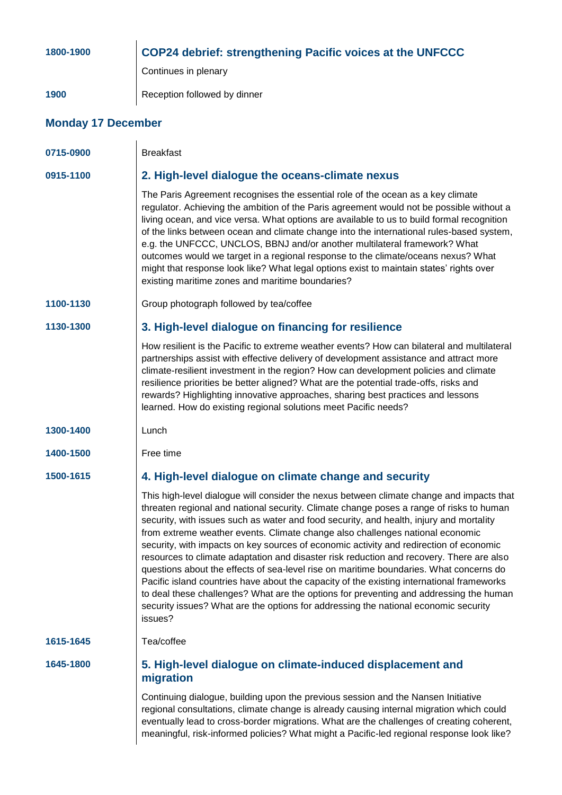| 1800-1900                 | <b>COP24 debrief: strengthening Pacific voices at the UNFCCC</b>                                                                                                                                                                                                                                                                                                                                                                                                                                                                                                                                                                                                                                                                                                                                                                                                                                                                         |  |
|---------------------------|------------------------------------------------------------------------------------------------------------------------------------------------------------------------------------------------------------------------------------------------------------------------------------------------------------------------------------------------------------------------------------------------------------------------------------------------------------------------------------------------------------------------------------------------------------------------------------------------------------------------------------------------------------------------------------------------------------------------------------------------------------------------------------------------------------------------------------------------------------------------------------------------------------------------------------------|--|
|                           | Continues in plenary                                                                                                                                                                                                                                                                                                                                                                                                                                                                                                                                                                                                                                                                                                                                                                                                                                                                                                                     |  |
| 1900                      | Reception followed by dinner                                                                                                                                                                                                                                                                                                                                                                                                                                                                                                                                                                                                                                                                                                                                                                                                                                                                                                             |  |
| <b>Monday 17 December</b> |                                                                                                                                                                                                                                                                                                                                                                                                                                                                                                                                                                                                                                                                                                                                                                                                                                                                                                                                          |  |
| 0715-0900                 | <b>Breakfast</b>                                                                                                                                                                                                                                                                                                                                                                                                                                                                                                                                                                                                                                                                                                                                                                                                                                                                                                                         |  |
| 0915-1100                 | 2. High-level dialogue the oceans-climate nexus                                                                                                                                                                                                                                                                                                                                                                                                                                                                                                                                                                                                                                                                                                                                                                                                                                                                                          |  |
|                           | The Paris Agreement recognises the essential role of the ocean as a key climate<br>regulator. Achieving the ambition of the Paris agreement would not be possible without a<br>living ocean, and vice versa. What options are available to us to build formal recognition<br>of the links between ocean and climate change into the international rules-based system,<br>e.g. the UNFCCC, UNCLOS, BBNJ and/or another multilateral framework? What<br>outcomes would we target in a regional response to the climate/oceans nexus? What<br>might that response look like? What legal options exist to maintain states' rights over<br>existing maritime zones and maritime boundaries?                                                                                                                                                                                                                                                   |  |
| 1100-1130                 | Group photograph followed by tea/coffee                                                                                                                                                                                                                                                                                                                                                                                                                                                                                                                                                                                                                                                                                                                                                                                                                                                                                                  |  |
| 1130-1300                 | 3. High-level dialogue on financing for resilience                                                                                                                                                                                                                                                                                                                                                                                                                                                                                                                                                                                                                                                                                                                                                                                                                                                                                       |  |
|                           | How resilient is the Pacific to extreme weather events? How can bilateral and multilateral<br>partnerships assist with effective delivery of development assistance and attract more<br>climate-resilient investment in the region? How can development policies and climate<br>resilience priorities be better aligned? What are the potential trade-offs, risks and<br>rewards? Highlighting innovative approaches, sharing best practices and lessons<br>learned. How do existing regional solutions meet Pacific needs?                                                                                                                                                                                                                                                                                                                                                                                                              |  |
| 1300-1400                 | Lunch                                                                                                                                                                                                                                                                                                                                                                                                                                                                                                                                                                                                                                                                                                                                                                                                                                                                                                                                    |  |
| 1400-1500                 | Free time                                                                                                                                                                                                                                                                                                                                                                                                                                                                                                                                                                                                                                                                                                                                                                                                                                                                                                                                |  |
| 1500-1615                 | 4. High-level dialogue on climate change and security                                                                                                                                                                                                                                                                                                                                                                                                                                                                                                                                                                                                                                                                                                                                                                                                                                                                                    |  |
|                           | This high-level dialogue will consider the nexus between climate change and impacts that<br>threaten regional and national security. Climate change poses a range of risks to human<br>security, with issues such as water and food security, and health, injury and mortality<br>from extreme weather events. Climate change also challenges national economic<br>security, with impacts on key sources of economic activity and redirection of economic<br>resources to climate adaptation and disaster risk reduction and recovery. There are also<br>questions about the effects of sea-level rise on maritime boundaries. What concerns do<br>Pacific island countries have about the capacity of the existing international frameworks<br>to deal these challenges? What are the options for preventing and addressing the human<br>security issues? What are the options for addressing the national economic security<br>issues? |  |
| 1615-1645                 | Tea/coffee                                                                                                                                                                                                                                                                                                                                                                                                                                                                                                                                                                                                                                                                                                                                                                                                                                                                                                                               |  |
| 1645-1800                 | 5. High-level dialogue on climate-induced displacement and<br>migration                                                                                                                                                                                                                                                                                                                                                                                                                                                                                                                                                                                                                                                                                                                                                                                                                                                                  |  |
|                           | Continuing dialogue, building upon the previous session and the Nansen Initiative<br>regional consultations, climate change is already causing internal migration which could<br>eventually lead to cross-border migrations. What are the challenges of creating coherent,<br>meaningful, risk-informed policies? What might a Pacific-led regional response look like?                                                                                                                                                                                                                                                                                                                                                                                                                                                                                                                                                                  |  |